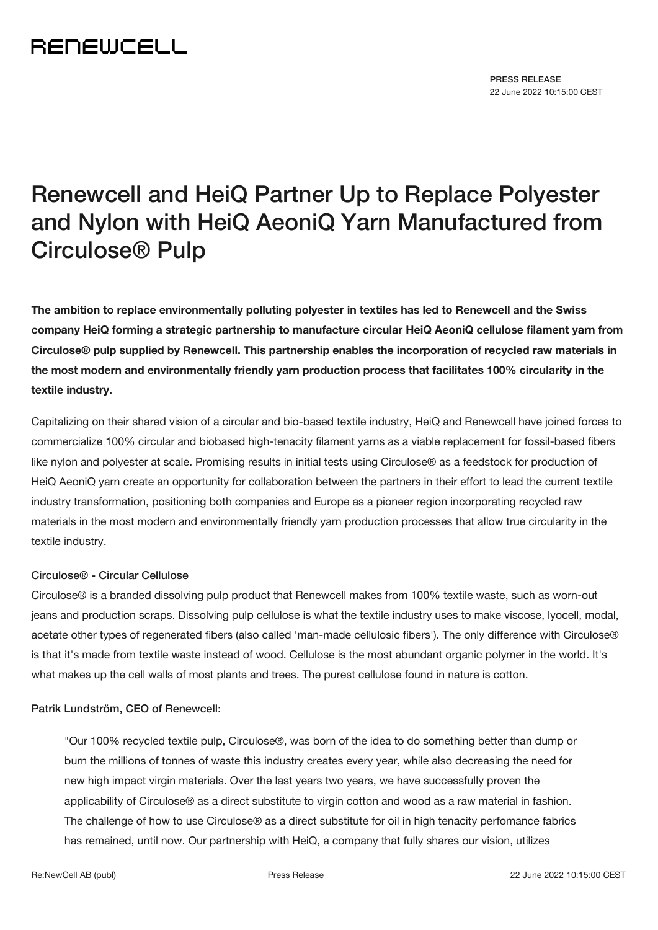## **RENEWCELL**

# Renewcell and HeiQ Partner Up to Replace Polyester and Nylon with HeiQ AeoniQ Yarn Manufactured from Circulose® Pulp

**The ambition to replace environmentally polluting polyester in textiles has led to Renewcell and the Swiss company HeiQ forming a strategic partnership to manufacture circular HeiQ AeoniQ cellulose filament yarn from Circulose® pulp supplied by Renewcell. This partnership enables the incorporation of recycled raw materials in the most modern and environmentally friendly yarn production process that facilitates 100% circularity in the textile industry.**

Capitalizing on their shared vision of a circular and bio-based textile industry, HeiQ and Renewcell have joined forces to commercialize 100% circular and biobased high-tenacity filament yarns as a viable replacement for fossil-based fibers like nylon and polyester at scale. Promising results in initial tests using Circulose® as a feedstock for production of HeiQ AeoniQ yarn create an opportunity for collaboration between the partners in their effort to lead the current textile industry transformation, positioning both companies and Europe as a pioneer region incorporating recycled raw materials in the most modern and environmentally friendly yarn production processes that allow true circularity in the textile industry.

#### Circulose® - Circular Cellulose

Circulose® is a branded dissolving pulp product that Renewcell makes from 100% textile waste, such as worn-out jeans and production scraps. Dissolving pulp cellulose is what the textile industry uses to make viscose, lyocell, modal, acetate other types of regenerated fibers (also called 'man-made cellulosic fibers'). The only difference with Circulose® is that it's made from textile waste instead of wood. Cellulose is the most abundant organic polymer in the world. It's what makes up the cell walls of most plants and trees. The purest cellulose found in nature is cotton.

#### Patrik Lundström, CEO of Renewcell:

"Our 100% recycled textile pulp, Circulose®, was born of the idea to do something better than dump or burn the millions of tonnes of waste this industry creates every year, while also decreasing the need for new high impact virgin materials. Over the last years two years, we have successfully proven the applicability of Circulose® as a direct substitute to virgin cotton and wood as a raw material in fashion. The challenge of how to use Circulose® as a direct substitute for oil in high tenacity perfomance fabrics has remained, until now. Our partnership with HeiQ, a company that fully shares our vision, utilizes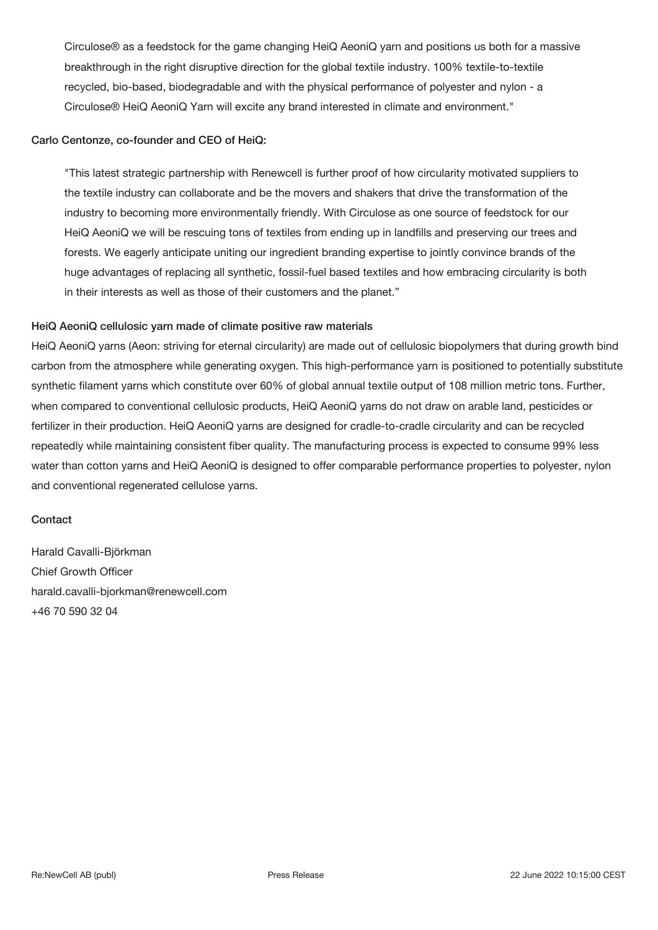Circulose® as a feedstock for the game changing HeiQ AeoniQ yarn and positions us both for a massive breakthrough in the right disruptive direction for the global textile industry. 100% textile-to-textile recycled, bio-based, biodegradable and with the physical performance of polyester and nylon - a Circulose® HeiQ AeoniQ Yarn will excite any brand interested in climate and environment."

#### Carlo Centonze, co-founder and CEO of HeiQ:

"This latest strategic partnership with Renewcell is further proof of how circularity motivated suppliers to the textile industry can collaborate and be the movers and shakers that drive the transformation of the industry to becoming more environmentally friendly. With Circulose as one source of feedstock for our HeiQ AeoniQ we will be rescuing tons of textiles from ending up in landfills and preserving our trees and forests. We eagerly anticipate uniting our ingredient branding expertise to jointly convince brands of the huge advantages of replacing all synthetic, fossil-fuel based textiles and how embracing circularity is both in their interests as well as those of their customers and the planet."

#### HeiQ AeoniQ cellulosic yarn made of climate positive raw materials

HeiQ AeoniQ yarns (Aeon: striving for eternal circularity) are made out of cellulosic biopolymers that during growth bind carbon from the atmosphere while generating oxygen. This high-performance yarn is positioned to potentially substitute synthetic filament yarns which constitute over 60% of global annual textile output of 108 million metric tons. Further, when compared to conventional cellulosic products, HeiQ AeoniQ yarns do not draw on arable land, pesticides or fertilizer in their production. HeiQ AeoniQ yarns are designed for cradle-to-cradle circularity and can be recycled repeatedly while maintaining consistent fiber quality. The manufacturing process is expected to consume 99% less water than cotton yarns and HeiQ AeoniQ is designed to offer comparable performance properties to polyester, nylon and conventional regenerated cellulose yarns.

#### **Contact**

Harald Cavalli-Björkman Chief Growth Officer [harald.cavalli-bjorkman@renewcell.com](mailto:harald.cavalli-bjorkman@renewcell.com) +46 70 590 32 04